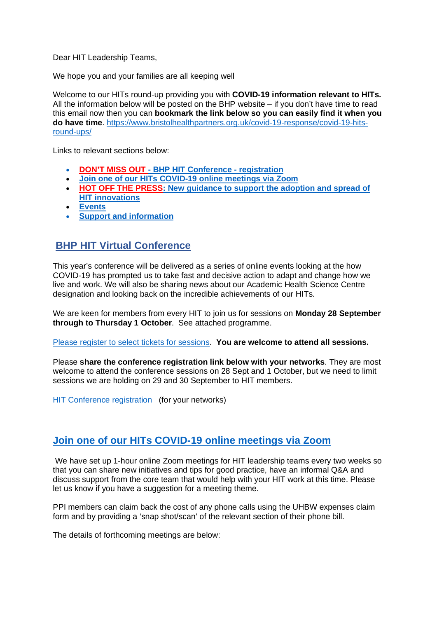Dear HIT Leadership Teams,

We hope you and your families are all keeping well

Welcome to our HITs round-up providing you with **COVID-19 information relevant to HITs.** All the information below will be posted on the BHP website – if you don't have time to read this email now then you can **bookmark the link below so you can easily find it when you do have time**. [https://www.bristolhealthpartners.org.uk/covid-19-response/covid-19-hits](https://www.bristolhealthpartners.org.uk/covid-19-response/covid-19-hits-round-ups/)[round-ups/](https://www.bristolhealthpartners.org.uk/covid-19-response/covid-19-hits-round-ups/)

Links to relevant sections below:

- **DON'T MISS OUT - BHP HIT Conference - registration**
- **[Join one of our HITs COVID-19 online meetings via Zoom](#page-0-0)**
- **[HOT OFF THE PRESS: New guidance to support the adoption and spread of](#page-1-0)  [HIT innovations](#page-1-0)**
- **[Events](#page-1-0)**
- **[Support and information](#page-1-1)**

# **BHP HIT Virtual Conference**

This year's conference will be delivered as a series of online events looking at the how COVID-19 has prompted us to take fast and decisive action to adapt and change how we live and work. We will also be sharing news about our Academic Health Science Centre designation and looking back on the incredible achievements of our HITs.

We are keen for members from every HIT to join us for sessions on **Monday 28 September through to Thursday 1 October**. See attached programme.

[Please register to select tickets for sessions.](https://www.eventbrite.co.uk/e/bristol-health-partners-ahsc-hit-conference-tickets-115859798777) **You are welcome to attend all sessions.**

Please **share the conference registration link below with your networks**. They are most welcome to attend the conference sessions on 28 Sept and 1 October, but we need to limit sessions we are holding on 29 and 30 September to HIT members.

[HIT Conference registration](https://www.eventbrite.co.uk/e/bristol-health-partnersahsc-conference-tickets-115983063465) (for your networks)

# <span id="page-0-0"></span>**Join one of our HITs COVID-19 online meetings via Zoom**

We have set up 1-hour online Zoom meetings for HIT leadership teams every two weeks so that you can share new initiatives and tips for good practice, have an informal Q&A and discuss support from the core team that would help with your HIT work at this time. Please let us know if you have a suggestion for a meeting theme.

PPI members can claim back the cost of any phone calls using the UHBW expenses claim form and by providing a 'snap shot/scan' of the relevant section of their phone bill.

The details of forthcoming meetings are below: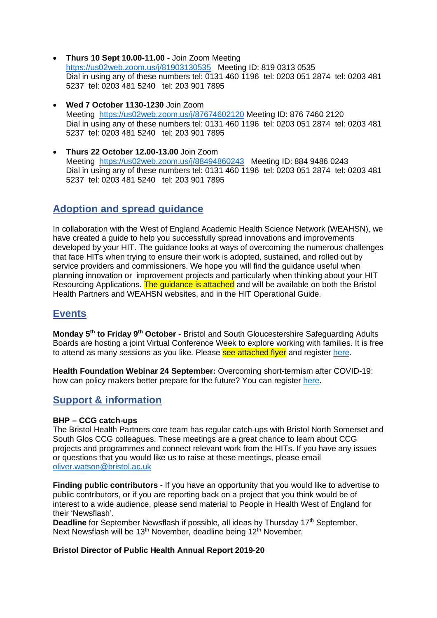- **Thurs 10 Sept 10.00-11.00 -** Join Zoom Meeting <https://us02web.zoom.us/j/81903130535> Meeting ID: 819 0313 0535 Dial in using any of these numbers tel: 0131 460 1196 tel: 0203 051 2874 tel: 0203 481 5237 tel: 0203 481 5240 tel: 203 901 7895
- **Wed 7 October 1130-1230** Join Zoom Meeting <https://us02web.zoom.us/j/87674602120> Meeting ID: 876 7460 2120 Dial in using any of these numbers tel: 0131 460 1196 tel: 0203 051 2874 tel: 0203 481 5237 tel: 0203 481 5240 tel: 203 901 7895
- **Thurs 22 October 12.00-13.00** Join Zoom Meeting <https://us02web.zoom.us/j/88494860243> Meeting ID: 884 9486 0243 Dial in using any of these numbers tel: 0131 460 1196 tel: 0203 051 2874 tel: 0203 481 5237 tel: 0203 481 5240 tel: 203 901 7895

# <span id="page-1-0"></span>**Adoption and spread guidance**

In collaboration with the West of England Academic Health Science Network (WEAHSN), we have created a guide to help you successfully spread innovations and improvements developed by your HIT. The guidance looks at ways of overcoming the numerous challenges that face HITs when trying to ensure their work is adopted, sustained, and rolled out by service providers and commissioners. We hope you will find the guidance useful when planning innovation or improvement projects and particularly when thinking about your HIT Resourcing Applications. The guidance is attached and will be available on both the Bristol Health Partners and WEAHSN websites, and in the HIT Operational Guide.

# **Events**

**Monday 5th to Friday 9th October** - Bristol and South Gloucestershire Safeguarding Adults Boards are hosting a joint Virtual Conference Week to explore working with families. It is free to attend as many sessions as you like. Please see attached flyer and register [here.](https://www.eventbrite.co.uk/o/kbsp-and-sgsab-30706269740)

**Health Foundation Webinar 24 September:** Overcoming short-termism after COVID-19: how can policy makers better prepare for the future? You can register [here.](https://www.health.org.uk/about-the-health-foundation/get-involved/events/webinar-overcoming-short-termism-after-covid-19)

# <span id="page-1-1"></span>**Support & information**

### **BHP – CCG catch-ups**

The Bristol Health Partners core team has regular catch-ups with Bristol North Somerset and South Glos CCG colleagues. These meetings are a great chance to learn about CCG projects and programmes and connect relevant work from the HITs. If you have any issues or questions that you would like us to raise at these meetings, please email [oliver.watson@bristol.ac.uk](mailto:oliver.watson@bristol.ac.uk)

**Finding public contributors** - If you have an opportunity that you would like to advertise to public contributors, or if you are reporting back on a project that you think would be of interest to a wide audience, please send material to People in Health West of England for their 'Newsflash'.

**Deadline** for September Newsflash if possible, all ideas by Thursday 17<sup>th</sup> September. Next Newsflash will be 13<sup>th</sup> November, deadline being 12<sup>th</sup> November.

### **Bristol Director of Public Health Annual Report 2019-20**